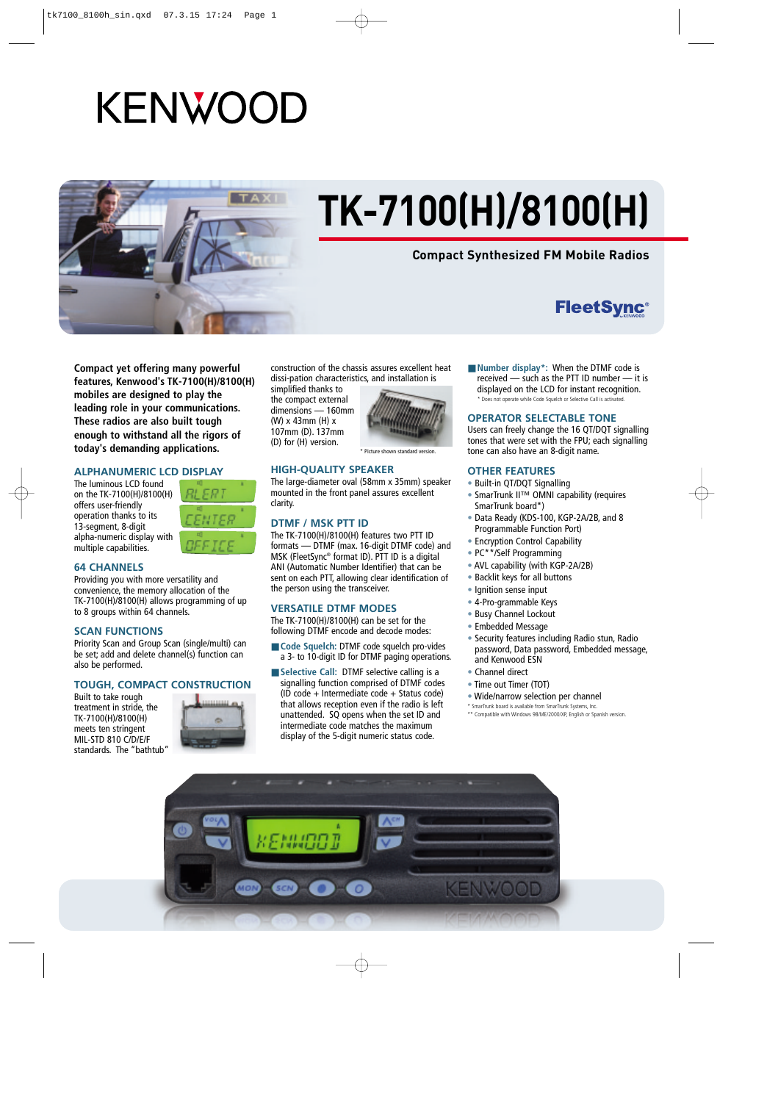# **KENWOOD**



# **TK-7100(H)/8100(H)**

### **Compact Synthesized FM Mobile Radios**

## **FleetSync®**

**Compact yet offering many powerful features, Kenwood's TK-7100(H)/8100(H) mobiles are designed to play the leading role in your communications. These radios are also built tough enough to withstand all the rigors of today's demanding applications.**

#### **ALPHANUMERIC LCD DISPLAY**

The luminous LCD found on the TK-7100(H)/8100(H) offers user-friendly operation thanks to its 13-segment, 8-digit alpha-numeric display with multiple capabilities.



#### **64 CHANNELS**

Providing you with more versatility and convenience, the memory allocation of the TK-7100(H)/8100(H) allows programming of up to 8 groups within 64 channels.

#### **SCAN FUNCTIONS**

Priority Scan and Group Scan (single/multi) can be set; add and delete channel(s) function can also be performed.

#### **TOUGH, COMPACT CONSTRUCTION**

Built to take rough treatment in stride, the TK-7100(H)/8100(H) meets ten stringent MIL-STD 810 C/D/E/F standards. The "bathtub"



construction of the chassis assures excellent heat dissi-pation characteristics, and installation is

simplified thanks to the compact external dimensions — 160mm (W) x 43mm (H) x 107mm (D). 137mm (D) for (H) version.



Picture shown standard version

#### **HIGH-QUALITY SPEAKER**

The large-diameter oval (58mm x 35mm) speaker mounted in the front panel assures excellent clarity.

#### **DTMF / MSK PTT ID**

The TK-7100(H)/8100(H) features two PTT ID formats — DTMF (max. 16-digit DTMF code) and MSK (FleetSync® format ID). PTT ID is a digital ANI (Automatic Number Identifier) that can be sent on each PTT, allowing clear identification of the person using the transceiver.

#### **VERSATILE DTMF MODES**

The TK-7100(H)/8100(H) can be set for the following DTMF encode and decode modes:

- **Code Squelch: DTMF code squelch pro-vides** a 3- to 10-digit ID for DTMF paging operations.
- Selective Call: DTMF selective calling is a signalling function comprised of DTMF codes (ID code + Intermediate code + Status code) that allows reception even if the radio is left unattended. SQ opens when the set ID and intermediate code matches the maximum display of the 5-digit numeric status code.

■ **Number display\*:** When the DTMF code is received — such as the PTT ID number — it is displayed on the LCD for instant recognition. \* Does not operate while Code Squelch or Selective Call is activated.

#### **OPERATOR SELECTABLE TONE**

Users can freely change the 16 QT/DQT signalling tones that were set with the FPU; each signalling tone can also have an 8-digit name.

#### **OTHER FEATURES**

- Built-in QT/DQT Signalling
- SmarTrunk II™ OMNI capability (requires SmarTrunk board\*)
- Data Ready (KDS-100, KGP-2A/2B, and 8 Programmable Function Port)
- Encryption Control Capability
- PC\*\*/Self Programming
- AVL capability (with KGP-2A/2B)
- Backlit keys for all buttons
- Ignition sense input
- 4-Pro-grammable Keys
- Busy Channel Lockout
- Embedded Message
- Security features including Radio stun, Radio password, Data password, Embedded message, and Kenwood ESN
- Channel direct
- Time out Timer (TOT)
- Wide/narrow selection per channel
- \* SmarTrunk board is available from SmarTrunk Systems, Inc. \*\* Compatible with Windows 98/ME/2000/XP, English or Spanish version.